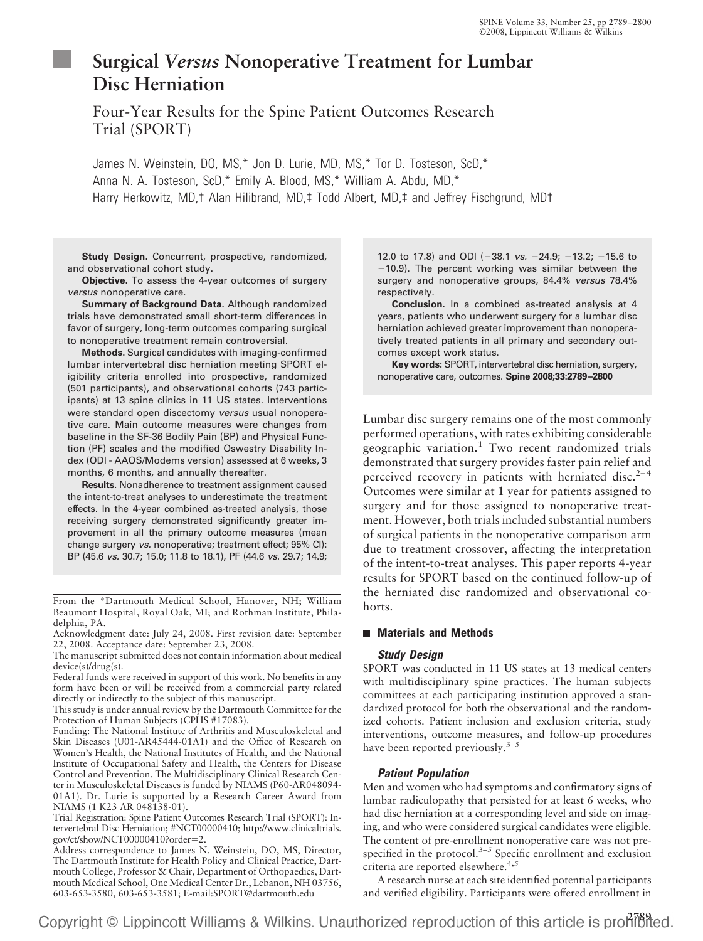# **Surgical** *Versus* **Nonoperative Treatment for Lumbar Disc Herniation**

Four-Year Results for the Spine Patient Outcomes Research Trial (SPORT)

James N. Weinstein, DO, MS,\* Jon D. Lurie, MD, MS,\* Tor D. Tosteson, ScD,\* Anna N. A. Tosteson, ScD,\* Emily A. Blood, MS,\* William A. Abdu, MD,\* Harry Herkowitz, MD,† Alan Hilibrand, MD,‡ Todd Albert, MD,‡ and Jeffrey Fischgrund, MD†

**Study Design.** Concurrent, prospective, randomized, and observational cohort study.

**Objective.** To assess the 4-year outcomes of surgery *versus* nonoperative care.

**Summary of Background Data.** Although randomized trials have demonstrated small short-term differences in favor of surgery, long-term outcomes comparing surgical to nonoperative treatment remain controversial.

**Methods.** Surgical candidates with imaging-confirmed lumbar intervertebral disc herniation meeting SPORT eligibility criteria enrolled into prospective, randomized (501 participants), and observational cohorts (743 participants) at 13 spine clinics in 11 US states. Interventions were standard open discectomy *versus* usual nonoperative care. Main outcome measures were changes from baseline in the SF-36 Bodily Pain (BP) and Physical Function (PF) scales and the modified Oswestry Disability Index (ODI - AAOS/Modems version) assessed at 6 weeks, 3 months, 6 months, and annually thereafter.

**Results.** Nonadherence to treatment assignment caused the intent-to-treat analyses to underestimate the treatment effects. In the 4-year combined as-treated analysis, those receiving surgery demonstrated significantly greater improvement in all the primary outcome measures (mean change surgery *vs.* nonoperative; treatment effect; 95% CI): BP (45.6 *vs.* 30.7; 15.0; 11.8 to 18.1), PF (44.6 *vs.* 29.7; 14.9;

From the \*Dartmouth Medical School, Hanover, NH; William Beaumont Hospital, Royal Oak, MI; and Rothman Institute, Philadelphia, PA.

Acknowledgment date: July 24, 2008. First revision date: September 22, 2008. Acceptance date: September 23, 2008.

The manuscript submitted does not contain information about medical device(s)/drug(s).

Federal funds were received in support of this work. No benefits in any form have been or will be received from a commercial party related directly or indirectly to the subject of this manuscript.

This study is under annual review by the Dartmouth Committee for the Protection of Human Subjects (CPHS #17083).

Funding: The National Institute of Arthritis and Musculoskeletal and Skin Diseases (U01-AR45444-01A1) and the Office of Research on Women's Health, the National Institutes of Health, and the National Institute of Occupational Safety and Health, the Centers for Disease Control and Prevention. The Multidisciplinary Clinical Research Center in Musculoskeletal Diseases is funded by NIAMS (P60-AR048094- 01A1). Dr. Lurie is supported by a Research Career Award from NIAMS (1 K23 AR 048138-01).

Trial Registration: Spine Patient Outcomes Research Trial (SPORT): Intervertebral Disc Herniation; #NCT00000410; http://www.clinicaltrials. gov/ct/show/NCT00000410?order-2.

Address correspondence to James N. Weinstein, DO, MS, Director, The Dartmouth Institute for Health Policy and Clinical Practice, Dartmouth College, Professor & Chair, Department of Orthopaedics, Dartmouth Medical School, One Medical Center Dr., Lebanon, NH 03756, 603-653-3580, 603-653-3581; E-mail:SPORT@dartmouth.edu

12.0 to 17.8) and ODI (-38.1 *vs.* -24.9; -13.2; -15.6 to  $-10.9$ ). The percent working was similar between the surgery and nonoperative groups, 84.4% *versus* 78.4% respectively.

**Conclusion.** In a combined as-treated analysis at 4 years, patients who underwent surgery for a lumbar disc herniation achieved greater improvement than nonoperatively treated patients in all primary and secondary outcomes except work status.

**Key words:** SPORT, intervertebral disc herniation, surgery, nonoperative care, outcomes. **Spine 2008;33:2789–2800**

Lumbar disc surgery remains one of the most commonly performed operations, with rates exhibiting considerable geographic variation.<sup>1</sup> Two recent randomized trials demonstrated that surgery provides faster pain relief and perceived recovery in patients with herniated disc.<sup>2-4</sup> Outcomes were similar at 1 year for patients assigned to surgery and for those assigned to nonoperative treatment. However, both trials included substantial numbers of surgical patients in the nonoperative comparison arm due to treatment crossover, affecting the interpretation of the intent-to-treat analyses. This paper reports 4-year results for SPORT based on the continued follow-up of the herniated disc randomized and observational cohorts.

#### **Materials and Methods**

#### *Study Design*

SPORT was conducted in 11 US states at 13 medical centers with multidisciplinary spine practices. The human subjects committees at each participating institution approved a standardized protocol for both the observational and the randomized cohorts. Patient inclusion and exclusion criteria, study interventions, outcome measures, and follow-up procedures have been reported previously.<sup>3-5</sup>

# *Patient Population*

Men and women who had symptoms and confirmatory signs of lumbar radiculopathy that persisted for at least 6 weeks, who had disc herniation at a corresponding level and side on imaging, and who were considered surgical candidates were eligible. The content of pre-enrollment nonoperative care was not prespecified in the protocol. $3-5$  Specific enrollment and exclusion criteria are reported elsewhere.<sup>4,5</sup>

A research nurse at each site identified potential participants and verified eligibility. Participants were offered enrollment in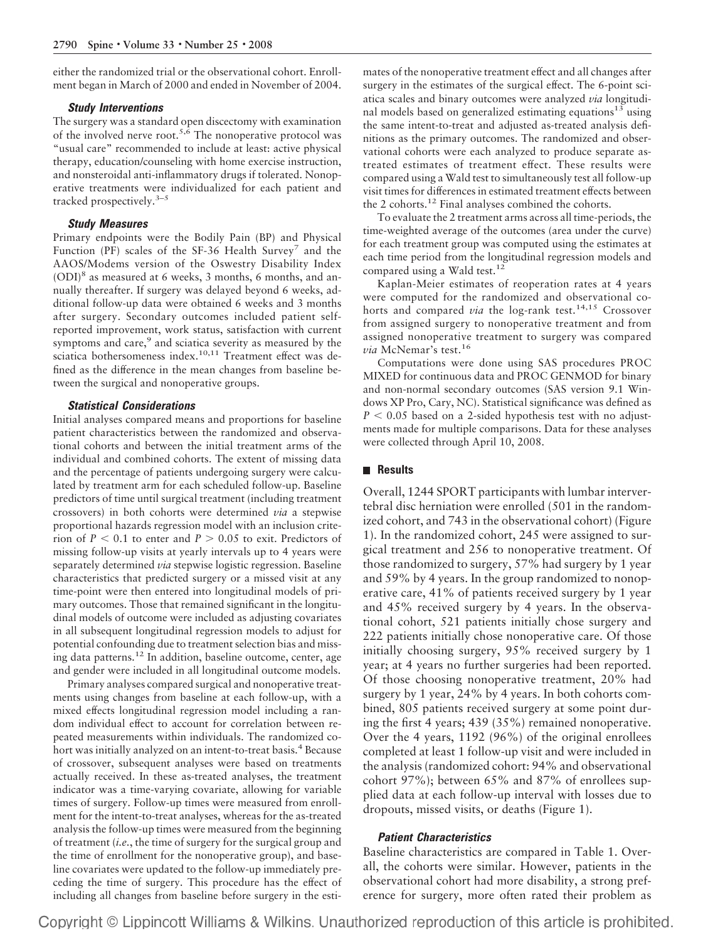either the randomized trial or the observational cohort. Enrollment began in March of 2000 and ended in November of 2004.

# *Study Interventions*

The surgery was a standard open discectomy with examination of the involved nerve root.<sup>5,6</sup> The nonoperative protocol was "usual care" recommended to include at least: active physical therapy, education/counseling with home exercise instruction, and nonsteroidal anti-inflammatory drugs if tolerated. Nonoperative treatments were individualized for each patient and tracked prospectively. $3-5$ 

#### *Study Measures*

Primary endpoints were the Bodily Pain (BP) and Physical Function (PF) scales of the SF-36 Health Survey<sup>7</sup> and the AAOS/Modems version of the Oswestry Disability Index (ODI)8 as measured at 6 weeks, 3 months, 6 months, and annually thereafter. If surgery was delayed beyond 6 weeks, additional follow-up data were obtained 6 weeks and 3 months after surgery. Secondary outcomes included patient selfreported improvement, work status, satisfaction with current symptoms and care,<sup>9</sup> and sciatica severity as measured by the sciatica bothersomeness index.<sup>10,11</sup> Treatment effect was defined as the difference in the mean changes from baseline between the surgical and nonoperative groups.

### *Statistical Considerations*

Initial analyses compared means and proportions for baseline patient characteristics between the randomized and observational cohorts and between the initial treatment arms of the individual and combined cohorts. The extent of missing data and the percentage of patients undergoing surgery were calculated by treatment arm for each scheduled follow-up. Baseline predictors of time until surgical treatment (including treatment crossovers) in both cohorts were determined *via* a stepwise proportional hazards regression model with an inclusion criterion of  $P < 0.1$  to enter and  $P > 0.05$  to exit. Predictors of missing follow-up visits at yearly intervals up to 4 years were separately determined *via* stepwise logistic regression. Baseline characteristics that predicted surgery or a missed visit at any time-point were then entered into longitudinal models of primary outcomes. Those that remained significant in the longitudinal models of outcome were included as adjusting covariates in all subsequent longitudinal regression models to adjust for potential confounding due to treatment selection bias and missing data patterns.12 In addition, baseline outcome, center, age and gender were included in all longitudinal outcome models.

Primary analyses compared surgical and nonoperative treatments using changes from baseline at each follow-up, with a mixed effects longitudinal regression model including a random individual effect to account for correlation between repeated measurements within individuals. The randomized cohort was initially analyzed on an intent-to-treat basis.<sup>4</sup> Because of crossover, subsequent analyses were based on treatments actually received. In these as-treated analyses, the treatment indicator was a time-varying covariate, allowing for variable times of surgery. Follow-up times were measured from enrollment for the intent-to-treat analyses, whereas for the as-treated analysis the follow-up times were measured from the beginning of treatment (*i.e.*, the time of surgery for the surgical group and the time of enrollment for the nonoperative group), and baseline covariates were updated to the follow-up immediately preceding the time of surgery. This procedure has the effect of including all changes from baseline before surgery in the esti-

mates of the nonoperative treatment effect and all changes after surgery in the estimates of the surgical effect. The 6-point sciatica scales and binary outcomes were analyzed *via* longitudinal models based on generalized estimating equations<sup>13</sup> using the same intent-to-treat and adjusted as-treated analysis definitions as the primary outcomes. The randomized and observational cohorts were each analyzed to produce separate astreated estimates of treatment effect. These results were compared using a Wald test to simultaneously test all follow-up visit times for differences in estimated treatment effects between the 2 cohorts.<sup>12</sup> Final analyses combined the cohorts.

To evaluate the 2 treatment arms across all time-periods, the time-weighted average of the outcomes (area under the curve) for each treatment group was computed using the estimates at each time period from the longitudinal regression models and compared using a Wald test.<sup>12</sup>

Kaplan-Meier estimates of reoperation rates at 4 years were computed for the randomized and observational cohorts and compared *via* the log-rank test.<sup>14,15</sup> Crossover from assigned surgery to nonoperative treatment and from assigned nonoperative treatment to surgery was compared *via* McNemar's test.<sup>16</sup>

Computations were done using SAS procedures PROC MIXED for continuous data and PROC GENMOD for binary and non-normal secondary outcomes (SAS version 9.1 Windows XP Pro, Cary, NC). Statistical significance was defined as  $P < 0.05$  based on a 2-sided hypothesis test with no adjustments made for multiple comparisons. Data for these analyses were collected through April 10, 2008.

#### **Results**

Overall, 1244 SPORT participants with lumbar intervertebral disc herniation were enrolled (501 in the randomized cohort, and 743 in the observational cohort) (Figure 1). In the randomized cohort, 245 were assigned to surgical treatment and 256 to nonoperative treatment. Of those randomized to surgery, 57% had surgery by 1 year and 59% by 4 years. In the group randomized to nonoperative care, 41% of patients received surgery by 1 year and 45% received surgery by 4 years. In the observational cohort, 521 patients initially chose surgery and 222 patients initially chose nonoperative care. Of those initially choosing surgery, 95% received surgery by 1 year; at 4 years no further surgeries had been reported. Of those choosing nonoperative treatment, 20% had surgery by 1 year, 24% by 4 years. In both cohorts combined, 805 patients received surgery at some point during the first 4 years; 439 (35%) remained nonoperative. Over the 4 years, 1192 (96%) of the original enrollees completed at least 1 follow-up visit and were included in the analysis (randomized cohort: 94% and observational cohort 97%); between 65% and 87% of enrollees supplied data at each follow-up interval with losses due to dropouts, missed visits, or deaths (Figure 1).

# *Patient Characteristics*

Baseline characteristics are compared in Table 1. Overall, the cohorts were similar. However, patients in the observational cohort had more disability, a strong preference for surgery, more often rated their problem as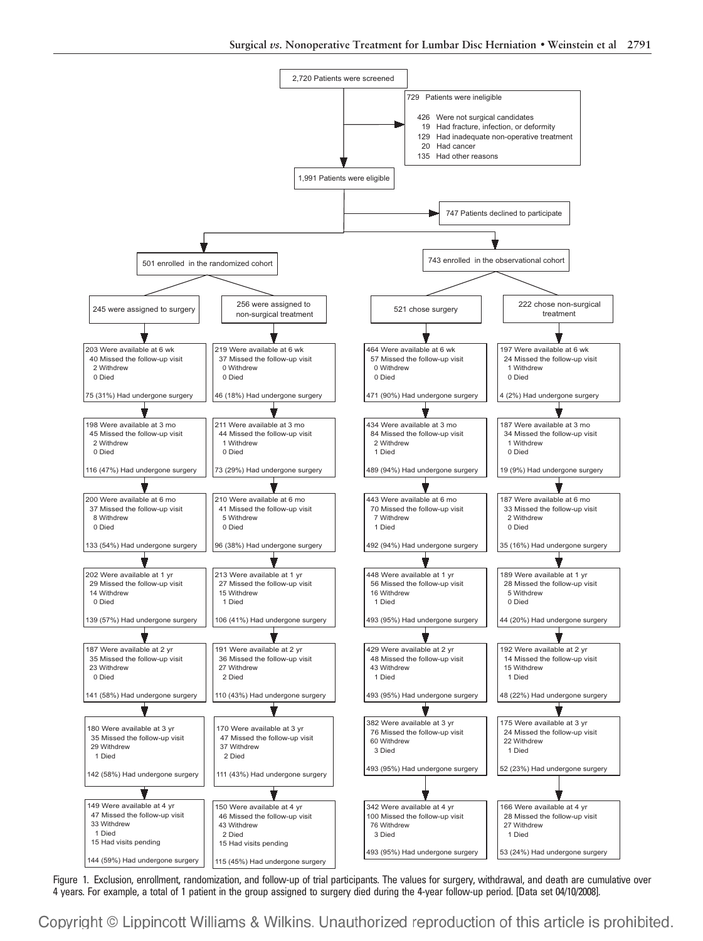

Figure 1. Exclusion, enrollment, randomization, and follow-up of trial participants. The values for surgery, withdrawal, and death are cumulative over 4 years. For example, a total of 1 patient in the group assigned to surgery died during the 4-year follow-up period. [Data set 04/10/2008].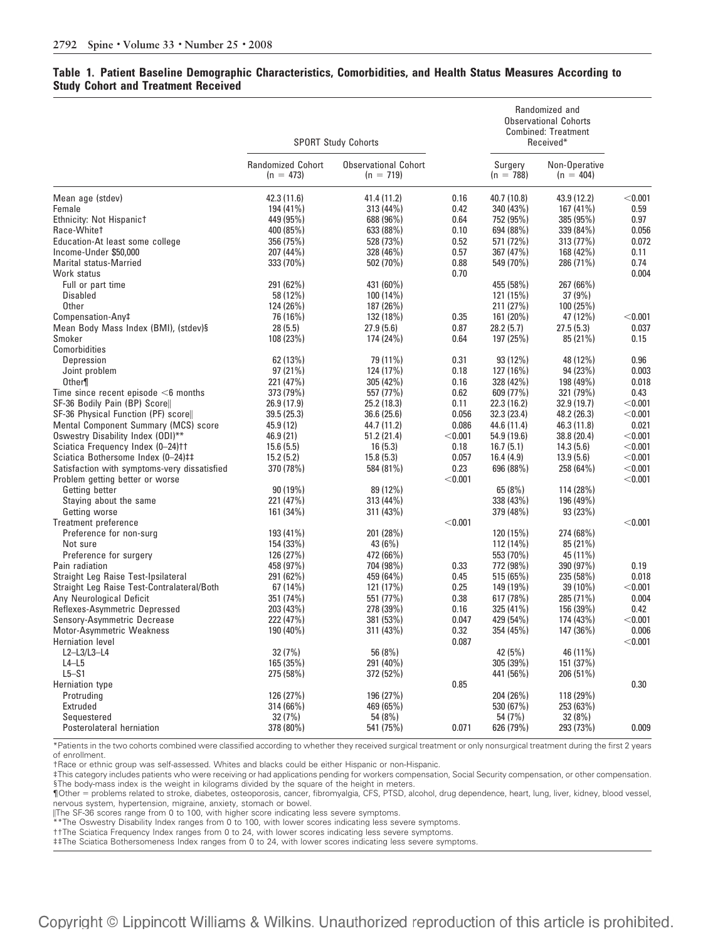|                                              |                                         |                                            |         |                        | Randomized and<br><b>Observational Cohorts</b><br><b>Combined: Treatment</b> |         |
|----------------------------------------------|-----------------------------------------|--------------------------------------------|---------|------------------------|------------------------------------------------------------------------------|---------|
|                                              |                                         | <b>SPORT Study Cohorts</b>                 |         |                        | Received*                                                                    |         |
|                                              | <b>Randomized Cohort</b><br>$(n = 473)$ | <b>Observational Cohort</b><br>$(n = 719)$ |         | Surgery<br>$(n = 788)$ | Non-Operative<br>$(n = 404)$                                                 |         |
| Mean age (stdev)                             | 42.3 (11.6)                             | 41.4 (11.2)                                | 0.16    | 40.7 (10.8)            | 43.9 (12.2)                                                                  | < 0.001 |
| Female                                       | 194 (41%)                               | 313 (44%)                                  | 0.42    | 340 (43%)              | 167 (41%)                                                                    | 0.59    |
| Ethnicity: Not Hispanict                     | 449 (95%)                               | 688 (96%)                                  | 0.64    | 752 (95%)              | 385 (95%)                                                                    | 0.97    |
| Race-White†                                  | 400 (85%)                               | 633 (88%)                                  | 0.10    | 694 (88%)              | 339 (84%)                                                                    | 0.056   |
| Education-At least some college              | 356 (75%)                               | 528 (73%)                                  | 0.52    | 571 (72%)              | 313 (77%)                                                                    | 0.072   |
| Income-Under \$50,000                        | 207 (44%)                               | 328 (46%)                                  | 0.57    | 367 (47%)              | 168 (42%)                                                                    | 0.11    |
| <b>Marital status-Married</b>                | 333 (70%)                               | 502 (70%)                                  | 0.88    | 549 (70%)              | 286 (71%)                                                                    | 0.74    |
| Work status                                  |                                         |                                            | 0.70    |                        |                                                                              | 0.004   |
| Full or part time                            | 291 (62%)                               | 431 (60%)                                  |         | 455 (58%)              | 267 (66%)                                                                    |         |
| <b>Disabled</b>                              | 58 (12%)                                | 100 (14%)                                  |         | 121 (15%)              | 37(9%)                                                                       |         |
| Other                                        | 124 (26%)                               | 187 (26%)                                  |         | 211 (27%)              | 100(25%)                                                                     |         |
| Compensation-Any‡                            | 76 (16%)                                | 132 (18%)                                  | 0.35    | 161 (20%)              | 47 (12%)                                                                     | < 0.001 |
| Mean Body Mass Index (BMI), (stdev)§         | 28(5.5)                                 | 27.9(5.6)                                  | 0.87    | 28.2(5.7)              | 27.5(5.3)                                                                    | 0.037   |
| Smoker                                       | 108 (23%)                               | 174 (24%)                                  | 0.64    | 197 (25%)              | 85 (21%)                                                                     | 0.15    |
| Comorbidities                                |                                         |                                            |         |                        |                                                                              |         |
| Depression                                   | 62 (13%)                                | 79 (11%)                                   | 0.31    | 93 (12%)               | 48 (12%)                                                                     | 0.96    |
| Joint problem                                | 97 (21%)                                | 124 (17%)                                  | 0.18    | 127 (16%)              | 94 (23%)                                                                     | 0.003   |
| Other                                        | 221 (47%)                               | 305 (42%)                                  | 0.16    | 328 (42%)              | 198 (49%)                                                                    | 0.018   |
| Time since recent episode $<$ 6 months       | 373 (79%)                               | 557 (77%)                                  | 0.62    | 609 (77%)              | 321 (79%)                                                                    | 0.43    |
| SF-36 Bodily Pain (BP) Score                 | 26.9 (17.9)                             | 25.2 (18.3)                                | 0.11    | 22.3(16.2)             | 32.9(19.7)                                                                   | < 0.001 |
| SF-36 Physical Function (PF) score           |                                         | 36.6(25.6)                                 | 0.056   |                        |                                                                              | < 0.001 |
|                                              | 39.5 (25.3)                             |                                            |         | 32.3(23.4)             | 48.2 (26.3)                                                                  |         |
| Mental Component Summary (MCS) score         | 45.9 (12)                               | 44.7 (11.2)                                | 0.086   | 44.6 (11.4)            | 46.3 (11.8)                                                                  | 0.021   |
| Oswestry Disability Index (ODI)**            | 46.9 (21)                               | 51.2(21.4)                                 | < 0.001 | 54.9 (19.6)            | 38.8 (20.4)                                                                  | < 0.001 |
| Sciatica Frequency Index (0-24)tt            | 15.6(5.5)                               | 16(5.3)                                    | 0.18    | 16.7(5.1)              | 14.3(5.6)                                                                    | < 0.001 |
| Sciatica Bothersome Index (0-24)##           | 15.2(5.2)                               | 15.8(5.3)                                  | 0.057   | 16.4(4.9)              | 13.9(5.6)                                                                    | < 0.001 |
| Satisfaction with symptoms-very dissatisfied | 370 (78%)                               | 584 (81%)                                  | 0.23    | 696 (88%)              | 258 (64%)                                                                    | < 0.001 |
| Problem getting better or worse              |                                         |                                            | < 0.001 |                        |                                                                              | < 0.001 |
| Getting better                               | 90(19%)                                 | 89 (12%)                                   |         | 65 (8%)                | 114 (28%)                                                                    |         |
| Staying about the same                       | 221 (47%)                               | 313 (44%)                                  |         | 338 (43%)              | 196 (49%)                                                                    |         |
| Getting worse                                | 161 (34%)                               | 311 (43%)                                  |         | 379 (48%)              | 93(23%)                                                                      |         |
| Treatment preference                         |                                         |                                            | < 0.001 |                        |                                                                              | < 0.001 |
| Preference for non-surg                      | 193 (41%)                               | 201 (28%)                                  |         | 120 (15%)              | 274 (68%)                                                                    |         |
| Not sure                                     | 154 (33%)                               | 43 (6%)                                    |         | 112 (14%)              | 85 (21%)                                                                     |         |
| Preference for surgery                       | 126 (27%)                               | 472 (66%)                                  |         | 553 (70%)              | 45 (11%)                                                                     |         |
| Pain radiation                               | 458 (97%)                               | 704 (98%)                                  | 0.33    | 772 (98%)              | 390 (97%)                                                                    | 0.19    |
| Straight Leg Raise Test-Ipsilateral          | 291 (62%)                               | 459 (64%)                                  | 0.45    | 515 (65%)              | 235 (58%)                                                                    | 0.018   |
| Straight Leg Raise Test-Contralateral/Both   | 67 (14%)                                | 121 (17%)                                  | 0.25    | 149 (19%)              | 39 (10%)                                                                     | < 0.001 |
| Any Neurological Deficit                     | 351 (74%)                               | 551 (77%)                                  | 0.38    | 617 (78%)              | 285 (71%)                                                                    | 0.004   |
| Reflexes-Asymmetric Depressed                | 203 (43%)                               | 278 (39%)                                  | 0.16    | 325 (41%)              | 156 (39%)                                                                    | 0.42    |
| Sensory-Asymmetric Decrease                  | 222 (47%)                               | 381 (53%)                                  | 0.047   | 429 (54%)              | 174 (43%)                                                                    | < 0.001 |
| <b>Motor-Asymmetric Weakness</b>             | 190 (40%)                               | 311 (43%)                                  | 0.32    | 354 (45%)              | 147 (36%)                                                                    | 0.006   |
| Herniation level                             |                                         |                                            | 0.087   |                        |                                                                              | < 0.001 |
| $L2-L3/L3-L4$                                | 32 (7%)                                 | 56 (8%)                                    |         | 42 (5%)                | 46 (11%)                                                                     |         |
| $L4-L5$                                      | 165 (35%)                               | 291 (40%)                                  |         | 305 (39%)              | 151 (37%)                                                                    |         |
| $L5 - S1$                                    | 275 (58%)                               | 372 (52%)                                  |         | 441 (56%)              | 206 (51%)                                                                    |         |
| Herniation type                              |                                         |                                            | 0.85    |                        |                                                                              | 0.30    |
| Protruding                                   | 126 (27%)                               | 196 (27%)                                  |         | 204 (26%)              | 118 (29%)                                                                    |         |
| Extruded                                     | 314 (66%)                               | 469 (65%)                                  |         | 530 (67%)              | 253 (63%)                                                                    |         |
| Sequestered                                  | 32(7%)                                  | 54 (8%)                                    |         | 54 (7%)                | 32(8%)                                                                       |         |
| Posterolateral herniation                    | 378 (80%)                               | 541 (75%)                                  | 0.071   | 626 (79%)              | 293 (73%)                                                                    | 0.009   |
|                                              |                                         |                                            |         |                        |                                                                              |         |

# **Table 1. Patient Baseline Demographic Characteristics, Comorbidities, and Health Status Measures According to Study Cohort and Treatment Received**

\*Patients in the two cohorts combined were classified according to whether they received surgical treatment or only nonsurgical treatment during the first 2 years of enrollment.

†Race or ethnic group was self-assessed. Whites and blacks could be either Hispanic or non-Hispanic.

‡This category includes patients who were receiving or had applications pending for workers compensation, Social Security compensation, or other compensation. §The body-mass index is the weight in kilograms divided by the square of the height in meters.

¶Other - problems related to stroke, diabetes, osteoporosis, cancer, fibromyalgia, CFS, PTSD, alcohol, drug dependence, heart, lung, liver, kidney, blood vessel, nervous system, hypertension, migraine, anxiety, stomach or bowel.

The SF-36 scores range from 0 to 100, with higher score indicating less severe symptoms.

\*\*The Oswestry Disability Index ranges from 0 to 100, with lower scores indicating less severe symptoms.

††The Sciatica Frequency Index ranges from 0 to 24, with lower scores indicating less severe symptoms.

‡‡The Sciatica Bothersomeness Index ranges from 0 to 24, with lower scores indicating less severe symptoms.

Copyright © Lippincott Williams & Wilkins. Unauthorized reproduction of this article is prohibited.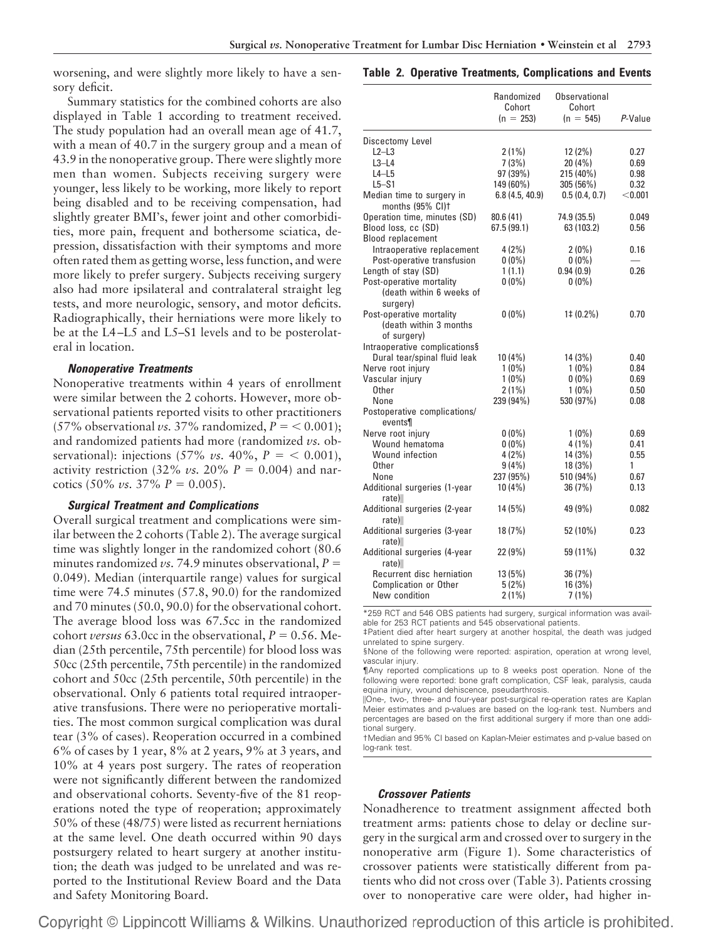worsening, and were slightly more likely to have a sensory deficit.

Summary statistics for the combined cohorts are also displayed in Table 1 according to treatment received. The study population had an overall mean age of 41.7, with a mean of 40.7 in the surgery group and a mean of 43.9 in the nonoperative group. There were slightly more men than women. Subjects receiving surgery were younger, less likely to be working, more likely to report being disabled and to be receiving compensation, had slightly greater BMI's, fewer joint and other comorbidities, more pain, frequent and bothersome sciatica, depression, dissatisfaction with their symptoms and more often rated them as getting worse, less function, and were more likely to prefer surgery. Subjects receiving surgery also had more ipsilateral and contralateral straight leg tests, and more neurologic, sensory, and motor deficits. Radiographically, their herniations were more likely to be at the L4–L5 and L5–S1 levels and to be posterolateral in location.

# *Nonoperative Treatments*

Nonoperative treatments within 4 years of enrollment were similar between the 2 cohorts. However, more observational patients reported visits to other practitioners (57% observational *vs.* 37% randomized,  $P = 0.001$ ); and randomized patients had more (randomized *vs.* observational): injections (57% *vs.* 40%,  $P = 0.001$ ), activity restriction  $(32\% \text{ vs. } 20\% \text{ P} = 0.004)$  and nar- $\cot$ ics (50% *vs.* 37%  $P = 0.005$ ).

#### *Surgical Treatment and Complications*

Overall surgical treatment and complications were similar between the 2 cohorts (Table 2). The average surgical time was slightly longer in the randomized cohort (80.6 minutes randomized *vs*. 74.9 minutes observational,  $P =$ 0.049). Median (interquartile range) values for surgical time were 74.5 minutes (57.8, 90.0) for the randomized and 70 minutes (50.0, 90.0) for the observational cohort. The average blood loss was 67.5cc in the randomized cohort *versus* 63.0cc in the observational,  $P = 0.56$ . Median (25th percentile, 75th percentile) for blood loss was 50cc (25th percentile, 75th percentile) in the randomized cohort and 50cc (25th percentile, 50th percentile) in the observational. Only 6 patients total required intraoperative transfusions. There were no perioperative mortalities. The most common surgical complication was dural tear (3% of cases). Reoperation occurred in a combined 6% of cases by 1 year, 8% at 2 years, 9% at 3 years, and 10% at 4 years post surgery. The rates of reoperation were not significantly different between the randomized and observational cohorts. Seventy-five of the 81 reoperations noted the type of reoperation; approximately 50% of these (48/75) were listed as recurrent herniations at the same level. One death occurred within 90 days postsurgery related to heart surgery at another institution; the death was judged to be unrelated and was reported to the Institutional Review Board and the Data and Safety Monitoring Board.

**Table 2. Operative Treatments, Complications and Events**

|                               | Randomized<br>Cohort | Observational<br>Cohort |         |
|-------------------------------|----------------------|-------------------------|---------|
|                               | $(n = 253)$          | $(n = 545)$             | P-Value |
| Discectomy Level              |                      |                         |         |
| $L2-L3$                       | $2(1\%)$             | 12(2%)                  | 0.27    |
| $L3-L4$                       | 7(3%)                | 20 (4%)                 | 0.69    |
| $L4-L5$                       | 97 (39%)             | 215 (40%)               | 0.98    |
| $L5 - S1$                     | 149 (60%)            | 305(56%)                | 0.32    |
| Median time to surgery in     | 6.8(4.5, 40.9)       | 0.5(0.4, 0.7)           | < 0.001 |
| months (95% CI)t              |                      |                         |         |
| Operation time, minutes (SD)  | 80.6 (41)            | 74.9 (35.5)             | 0.049   |
| Blood loss, cc (SD)           | 67.5 (99.1)          | 63 (103.2)              | 0.56    |
| <b>Blood replacement</b>      |                      |                         |         |
| Intraoperative replacement    | 4(2%)                |                         | 0.16    |
| Post-operative transfusion    | $0(0\%)$             | $2(0\%)$<br>$0(0\%)$    |         |
|                               |                      |                         | 0.26    |
| Length of stay (SD)           | 1(1.1)               | 0.94(0.9)               |         |
| Post-operative mortality      | $0(0\%)$             | $0(0\%)$                |         |
| (death within 6 weeks of      |                      |                         |         |
| surgery)                      |                      |                         |         |
| Post-operative mortality      | $0(0\%)$             | $1\pm(0.2\%)$           | 0.70    |
| (death within 3 months        |                      |                         |         |
| of surgery)                   |                      |                         |         |
| Intraoperative complications§ |                      |                         |         |
| Dural tear/spinal fluid leak  | 10(4%)               | 14 (3%)                 | 0.40    |
| Nerve root injury             | $1(0\%)$             | $1(0\%)$                | 0.84    |
| Vascular injury               | $1(0\%)$             | $0(0\%)$                | 0.69    |
| Other                         | $2(1\%)$             | $1(0\%)$                | 0.50    |
| None                          | 239 (94%)            | 530 (97%)               | 0.08    |
| Postoperative complications/  |                      |                         |         |
| events¶                       |                      |                         |         |
| Nerve root injury             | $0(0\%)$             | $1(0\%)$                | 0.69    |
| Wound hematoma                | $0(0\%)$             | $4(1\%)$                | 0.41    |
| Wound infection               | 4(2%)                | 14 (3%)                 | 0.55    |
| Other                         | 9(4%)                | 18 (3%)                 | 1       |
| None                          | 237 (95%)            | 510 (94%)               | 0.67    |
| Additional surgeries (1-year  | 10(4%)               | 36 (7%)                 | 0.13    |
| rate)                         |                      |                         |         |
| Additional surgeries (2-year  | 14 (5%)              | 49 (9%)                 | 0.082   |
| rate)                         |                      |                         |         |
| Additional surgeries (3-year  | 18 (7%)              | 52 (10%)                | 0.23    |
| rate)                         |                      |                         |         |
| Additional surgeries (4-year  | 22 (9%)              | 59 (11%)                | 0.32    |
| rate)                         |                      |                         |         |
| Recurrent disc herniation     | 13 (5%)              | 36 (7%)                 |         |
| <b>Complication or Other</b>  | $5(2\%)$             | 16 (3%)                 |         |
| New condition                 |                      |                         |         |
|                               | $2(1\%)$             | $7(1\%)$                |         |

\*259 RCT and 546 OBS patients had surgery, surgical information was available for 253 RCT patients and 545 observational patients.

‡Patient died after heart surgery at another hospital, the death was judged unrelated to spine surgery.

§None of the following were reported: aspiration, operation at wrong level, vascular injury.

¶Any reported complications up to 8 weeks post operation. None of the following were reported: bone graft complication, CSF leak, paralysis, cauda equina injury, wound dehiscence, pseudarthrosis.

One-, two-, three- and four-year post-surgical re-operation rates are Kaplan Meier estimates and p-values are based on the log-rank test. Numbers and percentages are based on the first additional surgery if more than one additional surgery.

†Median and 95% CI based on Kaplan-Meier estimates and p-value based on log-rank test.

#### *Crossover Patients*

Nonadherence to treatment assignment affected both treatment arms: patients chose to delay or decline surgery in the surgical arm and crossed over to surgery in the nonoperative arm (Figure 1). Some characteristics of crossover patients were statistically different from patients who did not cross over (Table 3). Patients crossing over to nonoperative care were older, had higher in-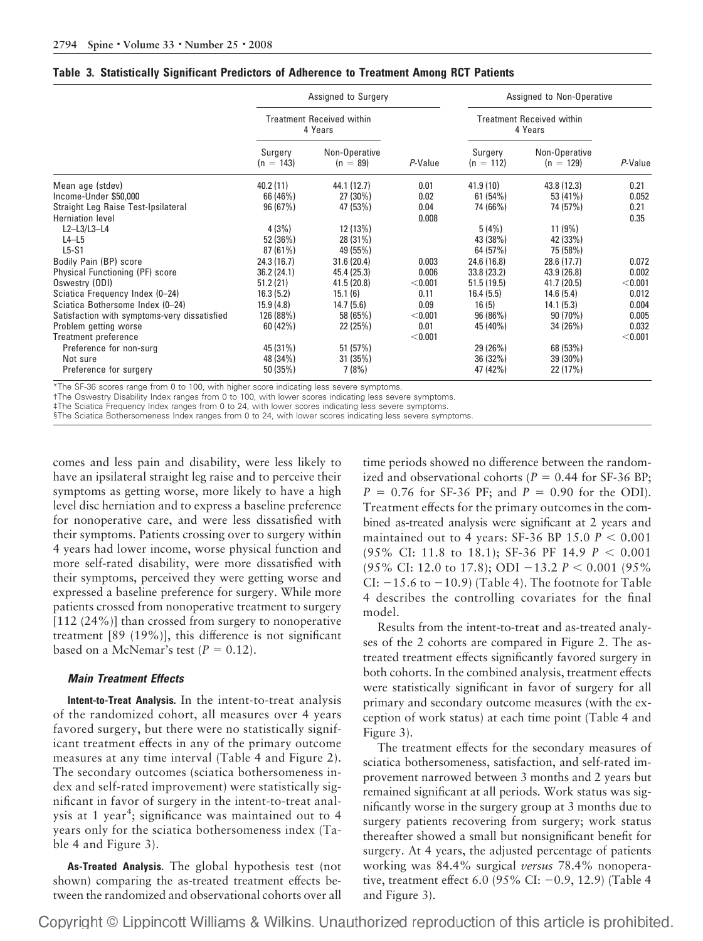|                                              |                        | Assigned to Surgery                         |         |                        | Assigned to Non-Operative                   |         |
|----------------------------------------------|------------------------|---------------------------------------------|---------|------------------------|---------------------------------------------|---------|
|                                              |                        | <b>Treatment Received within</b><br>4 Years |         |                        | <b>Treatment Received within</b><br>4 Years |         |
|                                              | Surgery<br>$(n = 143)$ | Non-Operative<br>$(n = 89)$                 | P-Value | Surgery<br>$(n = 112)$ | Non-Operative<br>$(n = 129)$                | P-Value |
| Mean age (stdev)                             | 40.2 (11)              | 44.1 (12.7)                                 | 0.01    | 41.9 (10)              | 43.8 (12.3)                                 | 0.21    |
| Income-Under \$50,000                        | 66 (46%)               | 27 (30%)                                    | 0.02    | 61(54%)                | 53 (41%)                                    | 0.052   |
| Straight Leg Raise Test-Ipsilateral          | 96 (67%)               | 47 (53%)                                    | 0.04    | 74 (66%)               | 74 (57%)                                    | 0.21    |
| Herniation level                             |                        |                                             | 0.008   |                        |                                             | 0.35    |
| $L2-L3/L3-L4$                                | 4(3%)                  | 12 (13%)                                    |         | 5(4%)                  | 11(9%)                                      |         |
| $L4-L5$                                      | 52 (36%)               | 28 (31%)                                    |         | 43 (38%)               | 42 (33%)                                    |         |
| $L5-S1$                                      | 87 (61%)               | 49 (55%)                                    |         | 64 (57%)               | 75 (58%)                                    |         |
| Bodily Pain (BP) score                       | 24.3(16.7)             | 31.6(20.4)                                  | 0.003   | 24.6 (16.8)            | 28.6(17.7)                                  | 0.072   |
| Physical Functioning (PF) score              | 36.2(24.1)             | 45.4 (25.3)                                 | 0.006   | 33.8 (23.2)            | 43.9 (26.8)                                 | 0.002   |
| Oswestry (ODI)                               | 51.2(21)               | 41.5 (20.8)                                 | < 0.001 | 51.5(19.5)             | 41.7 (20.5)                                 | < 0.001 |
| Sciatica Frequency Index (0-24)              | 16.3(5.2)              | 15.1(6)                                     | 0.11    | 16.4(5.5)              | 14.6(5.4)                                   | 0.012   |
| Sciatica Bothersome Index (0-24)             | 15.9(4.8)              | 14.7(5.6)                                   | 0.09    | 16(5)                  | 14.1(5.3)                                   | 0.004   |
| Satisfaction with symptoms-very dissatisfied | 126 (88%)              | 58 (65%)                                    | < 0.001 | 96 (86%)               | 90 (70%)                                    | 0.005   |
| Problem getting worse                        | 60 (42%)               | 22(25%)                                     | 0.01    | 45 (40%)               | 34 (26%)                                    | 0.032   |
| Treatment preference                         |                        |                                             | < 0.001 |                        |                                             | < 0.001 |
| Preference for non-surg                      | 45 (31%)               | 51 (57%)                                    |         | 29 (26%)               | 68 (53%)                                    |         |
| Not sure                                     | 48 (34%)               | 31(35%)                                     |         | 36 (32%)               | 39 (30%)                                    |         |
| Preference for surgery                       | 50(35%)                | 7(8%)                                       |         | 47 (42%)               | 22 (17%)                                    |         |

#### **Table 3. Statistically Significant Predictors of Adherence to Treatment Among RCT Patients**

\*The SF-36 scores range from 0 to 100, with higher score indicating less severe symptoms.

†The Oswestry Disability Index ranges from 0 to 100, with lower scores indicating less severe symptoms.

‡The Sciatica Frequency Index ranges from 0 to 24, with lower scores indicating less severe symptoms.

§The Sciatica Bothersomeness Index ranges from 0 to 24, with lower scores indicating less severe symptoms.

comes and less pain and disability, were less likely to have an ipsilateral straight leg raise and to perceive their symptoms as getting worse, more likely to have a high level disc herniation and to express a baseline preference for nonoperative care, and were less dissatisfied with their symptoms. Patients crossing over to surgery within 4 years had lower income, worse physical function and more self-rated disability, were more dissatisfied with their symptoms, perceived they were getting worse and expressed a baseline preference for surgery. While more patients crossed from nonoperative treatment to surgery [112 (24%)] than crossed from surgery to nonoperative treatment [89 (19%)], this difference is not significant based on a McNemar's test  $(P = 0.12)$ .

#### *Main Treatment Effects*

**Intent-to-Treat Analysis.** In the intent-to-treat analysis of the randomized cohort, all measures over 4 years favored surgery, but there were no statistically significant treatment effects in any of the primary outcome measures at any time interval (Table 4 and Figure 2). The secondary outcomes (sciatica bothersomeness index and self-rated improvement) were statistically significant in favor of surgery in the intent-to-treat analysis at 1 year<sup>4</sup>; significance was maintained out to 4 years only for the sciatica bothersomeness index (Table 4 and Figure 3).

**As-Treated Analysis.** The global hypothesis test (not shown) comparing the as-treated treatment effects between the randomized and observational cohorts over all time periods showed no difference between the randomized and observational cohorts ( $P = 0.44$  for SF-36 BP;  $P = 0.76$  for SF-36 PF; and  $P = 0.90$  for the ODI). Treatment effects for the primary outcomes in the combined as-treated analysis were significant at 2 years and maintained out to 4 years: SF-36 BP 15.0  $P < 0.001$ (95% CI: 11.8 to 18.1); SF-36 PF 14.9  $P < 0.001$  $(95\% \text{ CI: } 12.0 \text{ to } 17.8); \text{ODI} -13.2 \text{ } P < 0.001 \text{ } (95\%$ CI:  $-15.6$  to  $-10.9$ ) (Table 4). The footnote for Table 4 describes the controlling covariates for the final model.

Results from the intent-to-treat and as-treated analyses of the 2 cohorts are compared in Figure 2. The astreated treatment effects significantly favored surgery in both cohorts. In the combined analysis, treatment effects were statistically significant in favor of surgery for all primary and secondary outcome measures (with the exception of work status) at each time point (Table 4 and Figure 3).

The treatment effects for the secondary measures of sciatica bothersomeness, satisfaction, and self-rated improvement narrowed between 3 months and 2 years but remained significant at all periods. Work status was significantly worse in the surgery group at 3 months due to surgery patients recovering from surgery; work status thereafter showed a small but nonsignificant benefit for surgery. At 4 years, the adjusted percentage of patients working was 84.4% surgical *versus* 78.4% nonoperative, treatment effect 6.0 (95% CI:  $-0.9$ , 12.9) (Table 4 and Figure 3).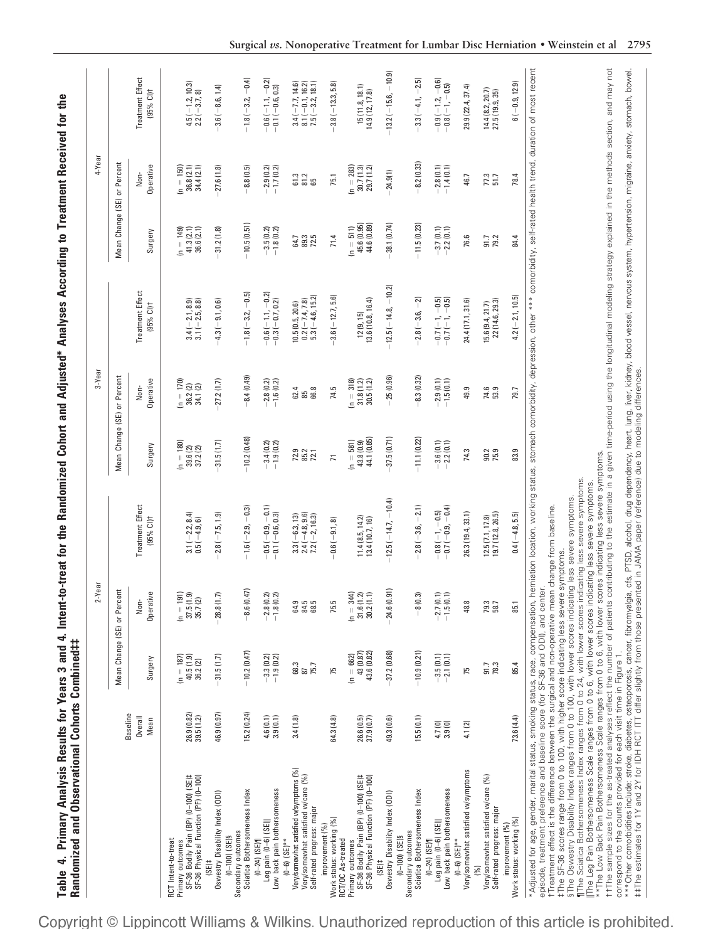| e<br>S<br>f<br>I                              |   |
|-----------------------------------------------|---|
|                                               |   |
| i<br>j                                        |   |
| ı<br>١<br>ە<br>م<br>Ē                         |   |
| $\overline{\phantom{a}}$<br>l<br><u>linte</u> | j |
|                                               | ¢ |
| <br> <br>                                     |   |

|                                                                                                                                                                                                                                                                                                                                                                                                                                                                                                                                                                                                                                                                                                                                                                                                                                                                                                                                                                                                                                                                                                                                                                                                                                                                                                                                                                                                             |                             |                                         | 2-Year                                                                  |                                                                                                                                                                                                                                                                         |                                          | 3-Year                                     |                                                                                      |                                           | 4-Year                                  |                                                                                                  |
|-------------------------------------------------------------------------------------------------------------------------------------------------------------------------------------------------------------------------------------------------------------------------------------------------------------------------------------------------------------------------------------------------------------------------------------------------------------------------------------------------------------------------------------------------------------------------------------------------------------------------------------------------------------------------------------------------------------------------------------------------------------------------------------------------------------------------------------------------------------------------------------------------------------------------------------------------------------------------------------------------------------------------------------------------------------------------------------------------------------------------------------------------------------------------------------------------------------------------------------------------------------------------------------------------------------------------------------------------------------------------------------------------------------|-----------------------------|-----------------------------------------|-------------------------------------------------------------------------|-------------------------------------------------------------------------------------------------------------------------------------------------------------------------------------------------------------------------------------------------------------------------|------------------------------------------|--------------------------------------------|--------------------------------------------------------------------------------------|-------------------------------------------|-----------------------------------------|--------------------------------------------------------------------------------------------------|
|                                                                                                                                                                                                                                                                                                                                                                                                                                                                                                                                                                                                                                                                                                                                                                                                                                                                                                                                                                                                                                                                                                                                                                                                                                                                                                                                                                                                             |                             |                                         | Mean Change (SE) or Percent                                             |                                                                                                                                                                                                                                                                         | Mean Change (SE)                         | Percent<br>ð                               |                                                                                      | Mean Change (SE) or Percent               |                                         |                                                                                                  |
|                                                                                                                                                                                                                                                                                                                                                                                                                                                                                                                                                                                                                                                                                                                                                                                                                                                                                                                                                                                                                                                                                                                                                                                                                                                                                                                                                                                                             | Baseline<br>Overall<br>Mean | Surgery                                 | Operative<br>Non-                                                       | Treatment Effect<br>$(95%$ CI)t                                                                                                                                                                                                                                         | Surgery                                  | Operative<br>Non-                          | Treatment Effect<br>(95% Cl)t                                                        | Surgery                                   | Operative<br>Non-                       | Treatment Effect<br>(95% CI)t                                                                    |
| SF-36 Bodily Pain (BP) (0-100) (SE)#<br>SF-36 Physical Function (PF) (0-100)<br>RCT Intent-to-treat<br>Primary outcomes                                                                                                                                                                                                                                                                                                                                                                                                                                                                                                                                                                                                                                                                                                                                                                                                                                                                                                                                                                                                                                                                                                                                                                                                                                                                                     | 26.9 (0.82)<br>39.5 (1.2)   | 40.5 (1.9)<br>$(n = 187)$<br>36.2 (2)   | $(n = 191)$<br>$37.5(1.9)$<br>$\frac{191}{2}$<br>$\overline{2}$<br>35.7 | $3.1 (-2.2, 8.4)$<br>$0.5 (-4.9, 6)$                                                                                                                                                                                                                                    | $= 180$<br>39.6 (2)<br>37.2 (2)<br>Ξ     | $= 170$<br>36.2(2)<br>34.1(2)<br>$\equiv$  | $3.4 (-2.1, 8.9)$<br>$3.1 (-2.5, 8.8)$                                               | 41.3 (2.1)<br>36.6 (2.1)<br>$n = 149$     | 36.8(2.1)<br>34.4(2.1)<br>$= 150$<br>Ξ  | $4.5(-1.2, 10.3)$<br>$2.2(-3.7, 8)$                                                              |
| Oswestry Disability Index (ODI)<br>$(0-100)$ (SE)§<br>15(3)                                                                                                                                                                                                                                                                                                                                                                                                                                                                                                                                                                                                                                                                                                                                                                                                                                                                                                                                                                                                                                                                                                                                                                                                                                                                                                                                                 | 46.9 (0.97)                 | 31.5(1.7)                               | $-28.8(1.7)$                                                            | $2.8(-7.5, 1.9)$                                                                                                                                                                                                                                                        | 31.5(1.7)                                | 27.2 (1.7)                                 | $-4.3(-9.1, 0.6)$                                                                    | 31.2(1.8)                                 | 27.6 (1.8)                              | $-3.6(-8.6, 1.4)$                                                                                |
| Secondary outcomes<br>Sciatica Bothersomeness Index                                                                                                                                                                                                                                                                                                                                                                                                                                                                                                                                                                                                                                                                                                                                                                                                                                                                                                                                                                                                                                                                                                                                                                                                                                                                                                                                                         | 15.2(0.24)                  | $-10.2(0.47)$                           | (0.47)<br>$-8.6$                                                        | $-1.6(-2.9, -0.3)$                                                                                                                                                                                                                                                      | $-10.2(0.48)$                            | 84 (0.49)                                  | $-1.8(-3.2, -0.5)$                                                                   | $-10.5(0.51)$                             | $-8.8(0.5)$                             | $-1.8$ ( $-3.2$ , $-0.4$ )                                                                       |
| Low back pain bothersomeness<br>Leg pain (0-6) (SE) <br>$(0-24)$ (SE)                                                                                                                                                                                                                                                                                                                                                                                                                                                                                                                                                                                                                                                                                                                                                                                                                                                                                                                                                                                                                                                                                                                                                                                                                                                                                                                                       | $4.6(0.1)$<br>3.9(0.1)      | $-3.3(0.2)$<br>$-1.9(0.2)$              | $-2.8(0.2)$<br>$-1.8(0.2)$                                              | $-0.5(-0.9, -0.1)$<br>$-0.1(-0.6, 0.3)$                                                                                                                                                                                                                                 | $-3.4(0.2)$<br>$-1.9(0.2)$               | $-2.8(0.2)$<br>$-1.6(0.2)$                 | $-0.6(-1.1, -0.2)$<br>$-0.3(-0.7, 0.2)$                                              | $-3.5(0.2)$<br>$-1.8(0.2)$                | $-2.9(0.2)$<br>$-1.7(0.2)$              | $-0.6$ ( $-1.1$ , $-0.2$ )<br>-0.1 ( $-0.6$ , 0.3)                                               |
| Very/somewhat satisfied w/symptoms (%)<br>Very/somewhat satisfied w/care (%)<br>Self-rated progress: major<br>$(0-6)$ (SE) <sup>**</sup>                                                                                                                                                                                                                                                                                                                                                                                                                                                                                                                                                                                                                                                                                                                                                                                                                                                                                                                                                                                                                                                                                                                                                                                                                                                                    | 3.4(1.8)                    | 68.3<br>87<br>75.7                      | a na<br>ತ ಹ ಜ                                                           | $3.3(-6.3, 13)$<br>$2.4(-4.8, 9.6)$<br>$7.2(-2, 16.3)$                                                                                                                                                                                                                  | 72.9<br>85.2<br>72.1                     | 62.4<br>66.8<br>85                         | $\begin{array}{c} 10.5\,(0.5,20.6)\\ 0.2\,(-7.4,7.8)\\ 5.3\,(-4.6,15.2) \end{array}$ | 64.7<br>89.3<br>72.5                      | 61.3<br>81.2<br>65                      | $\begin{array}{l} 3.4 \, (-7.7, 14.6) \\ 8.1 \, (-0.1, 16.2) \\ 7.5 \, (-3.2, 18.1) \end{array}$ |
| Work status: working (%)<br>improvement (%<br>RCT/OC As-treated                                                                                                                                                                                                                                                                                                                                                                                                                                                                                                                                                                                                                                                                                                                                                                                                                                                                                                                                                                                                                                                                                                                                                                                                                                                                                                                                             | 64.3 (4.8)                  | 75                                      | 5<br>۳5.                                                                | $-0.6$ $(-9.1, 8)$                                                                                                                                                                                                                                                      | 11                                       | 74.5                                       | $-3.6(-12.7, 5.6)$                                                                   | 71.4                                      | 75.1                                    | $-3.8(-13.3, 5.8)$                                                                               |
| SF-36 Bodily Pain (BP) (0-100) (SE)#<br>SF-36 Physical Function (PF) (0-100)<br>Primary outcomes                                                                                                                                                                                                                                                                                                                                                                                                                                                                                                                                                                                                                                                                                                                                                                                                                                                                                                                                                                                                                                                                                                                                                                                                                                                                                                            | 26.6 (0.5)<br>37.9 (0.7)    | 43 (0.87)<br>43.6 (0.82)<br>$(n = 662)$ | 344)<br>$31.6(1.2)$<br>$30.2(1.1)$<br>(1.1)<br>$\mathsf{L} =$           | 11.4(8.5, 14.2)<br>13.4 (10.7, 16)                                                                                                                                                                                                                                      | 44.1 (0.85<br>$= 581$<br>43.8 (0.9)<br>Ξ | 318)<br>31.8(1.2)<br>30.5(1.2)<br>$\equiv$ | 13.6(10.8, 16.4)<br>12(9, 15)                                                        | 45.6 (0.95)<br>44.6 (0.89)<br>$(n = 511)$ | $(n = 283)$<br>30.7 (1.3)<br>29.7 (1.2) | 15(11.8, 18.1)<br>14.9 (12, 17.8)                                                                |
| Oswestry Disability Index (ODI)<br>1(35)                                                                                                                                                                                                                                                                                                                                                                                                                                                                                                                                                                                                                                                                                                                                                                                                                                                                                                                                                                                                                                                                                                                                                                                                                                                                                                                                                                    | 49.3 (0.6)                  | 37.2(0.68)                              | (0.91)<br>$-24.6$                                                       | $-12.5(-14.7, -10.4)$                                                                                                                                                                                                                                                   | 37.5(0.71)                               | $-25(0.96)$                                | $-12.5(-14.8, -10.2)$                                                                | 38.1 (0.74)                               | $-24.9(1)$                              | $13.2(-15.6, -10.9)$                                                                             |
| Secondary outcomes<br>Sciatica Bothersomeness Index<br>$(0-100)$ (SE)§                                                                                                                                                                                                                                                                                                                                                                                                                                                                                                                                                                                                                                                                                                                                                                                                                                                                                                                                                                                                                                                                                                                                                                                                                                                                                                                                      | 15.5(0.1)                   | $-10.9(0.21)$                           | (0.3)<br>$-\frac{8}{5}$                                                 | $-2.8(-3.6, -2.1)$                                                                                                                                                                                                                                                      | $-11.1(0.22)$                            | 8.3 (0.32)                                 | $^{-2}$<br>$2.8(-3.6)$                                                               | $-11.5(0.23)$                             | $-8.2(0.33)$                            | $-3.3(-4.1, -2.5)$                                                                               |
| Low back pain bothersomeness<br>Leg pain (0-6) (SE) <br>$(0-24)$ (SE)                                                                                                                                                                                                                                                                                                                                                                                                                                                                                                                                                                                                                                                                                                                                                                                                                                                                                                                                                                                                                                                                                                                                                                                                                                                                                                                                       | 4.7 (0)<br>3.9 (0)          | $-3.5(0.1)$<br>$-2.1(0.1)$              | (0.1)<br>$\overline{0}$ .1)<br>$-1.5($<br>$-2.7$                        | $-0.8 (-1, -0.5)$<br>-0.7 (-0.9, -0.4)                                                                                                                                                                                                                                  | $-3.6(0.1)$<br>$-2.2(0.1)$               | $-2.9(0.1)$<br>$-1.5(0.1)$                 | $-0.7(-1, -0.5)$<br>$-0.7(-1, -0.5)$                                                 | $-3.7(0.1)$<br>$-2.2(0.1)$                | $-2.8(0.1)$<br>$-1.4(0.1)$              | $-0.9$ ( $-1.2$ , $-0.6$ )<br>$-0.8(-1, -0.5)$                                                   |
| Very/somewhat satisfied w/symptoms<br>$(0-6)$ (SE)**                                                                                                                                                                                                                                                                                                                                                                                                                                                                                                                                                                                                                                                                                                                                                                                                                                                                                                                                                                                                                                                                                                                                                                                                                                                                                                                                                        | 4.1(2)                      | 75                                      | $\infty$<br>≌,                                                          | 26.3(19.4, 33.1)                                                                                                                                                                                                                                                        | 74.3                                     | 49.9                                       | 24.4 (17.1, 31.6)                                                                    | 76.6                                      | 46.7                                    | 29.9 (22.4, 37.4)                                                                                |
| Very/somewhat satisfied w/care (%)<br>Self-rated progress: major                                                                                                                                                                                                                                                                                                                                                                                                                                                                                                                                                                                                                                                                                                                                                                                                                                                                                                                                                                                                                                                                                                                                                                                                                                                                                                                                            |                             | 91.7<br>78.3                            | $\ddot{c}$<br>79.8                                                      | 12.5 (7.1, 17.8)<br>19.7 (12.8, 26.5)                                                                                                                                                                                                                                   | 90.2<br>75.9                             | 74.6<br>53.9                               | 22 (14.6, 29.3)<br>15.6(9.4, 21.7)                                                   | 91.7<br>79.2                              | $\frac{7}{3}$                           | $14.4 (8.2, 20.7)$<br>$27.5 (19.9, 35)$                                                          |
| Work status: working (%)<br>improvement (%)                                                                                                                                                                                                                                                                                                                                                                                                                                                                                                                                                                                                                                                                                                                                                                                                                                                                                                                                                                                                                                                                                                                                                                                                                                                                                                                                                                 | 73.6 (4.4)                  | 85.4                                    | 85.1                                                                    | $0.4(-4.8, 5.5)$                                                                                                                                                                                                                                                        | 83.9                                     | 79.7                                       | $4.2(-2.1, 10.5)$                                                                    | 84.4                                      | 78.4                                    | $6(-0.9, 12.9)$                                                                                  |
| *Adjusted for age, gender, marital status, smoking status, race, compensation, hermiation location, working status, stomach comorbidity, depression, other *** comorbidity, self-rated health trend, duration of most recent<br>ttThe sample sizes for the as-treated analyses reflect the number of patients contributing to the estimate in a given time-period using the longitudinal modeling strategy explained in the methods section, and may not<br>***Other comorbidities include: stroke, diabetes, osteoporosis, cancer, fibromyalgia, cfs, PTSD, alcohol, drug dependency, heart, lung, liver, kidne<br>##The estimates for 1Y and 2Y for IDH RCT ITT differ slightly from those<br>sThe Oswestry Disability Index ranges from 0 to 100, with lower scores indicating less severe symptoms.<br>tTreatment effect is the difference between the surgical and non-operative mean change from baseline.<br>‡The SF-36 scores range from 0 to 100, with higher score indicating less severe symptoms.<br>episode, treatment preference and baseline score (for SF-36 and ODI), and center.<br>The Sciatica Bothersomeness Index ranges from 0 to 24, with lower scores<br>** The Low Back Pain Bothersomeness Scale ranges from 0 to 6, with lower<br>The Leg Pain Bothersomeness Scale ranges from 0 to 6, with lower scores<br>correspond to the counts provided for each visit time in Figure 1. |                             |                                         |                                                                         | igia, cfs, PTSD, alcohol, drug dependency, heart, lung, liver, kidney, blood vessel, nervous system, hypertension, migraine, anxiety, stomach, bowel.<br>scores indicating less severe symptoms.<br>indicating less severe symptoms.<br>ndicating less severe symptoms. |                                          |                                            |                                                                                      |                                           |                                         |                                                                                                  |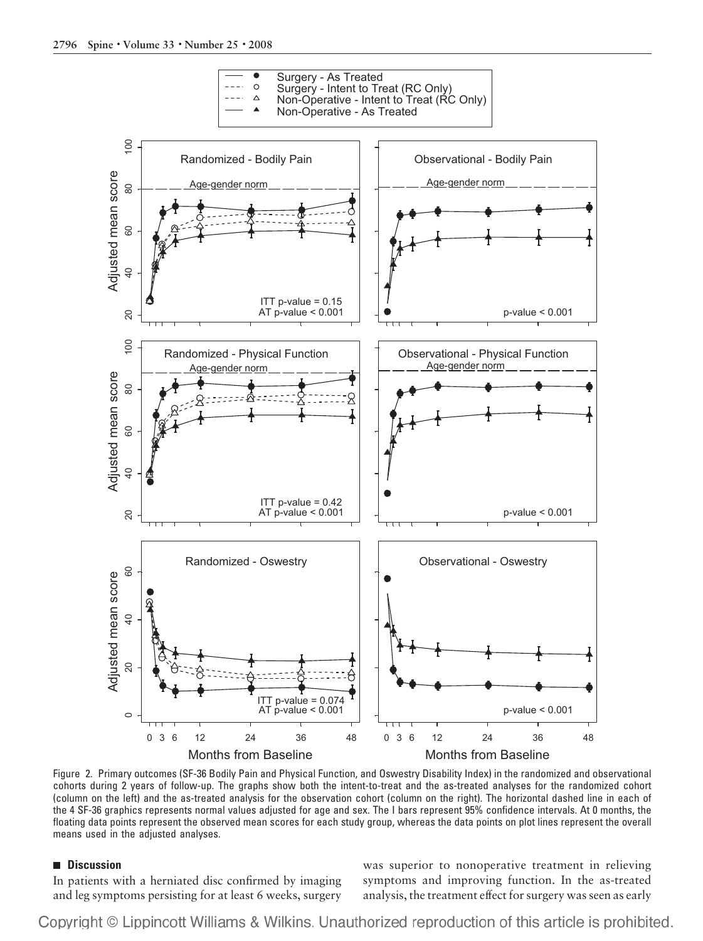

Figure 2. Primary outcomes (SF-36 Bodily Pain and Physical Function, and Oswestry Disability Index) in the randomized and observational cohorts during 2 years of follow-up. The graphs show both the intent-to-treat and the as-treated analyses for the randomized cohort (column on the left) and the as-treated analysis for the observation cohort (column on the right). The horizontal dashed line in each of the 4 SF-36 graphics represents normal values adjusted for age and sex. The I bars represent 95% confidence intervals. At 0 months, the floating data points represent the observed mean scores for each study group, whereas the data points on plot lines represent the overall means used in the adjusted analyses.

# **Discussion**

In patients with a herniated disc confirmed by imaging and leg symptoms persisting for at least 6 weeks, surgery

was superior to nonoperative treatment in relieving symptoms and improving function. In the as-treated analysis, the treatment effect for surgery was seen as early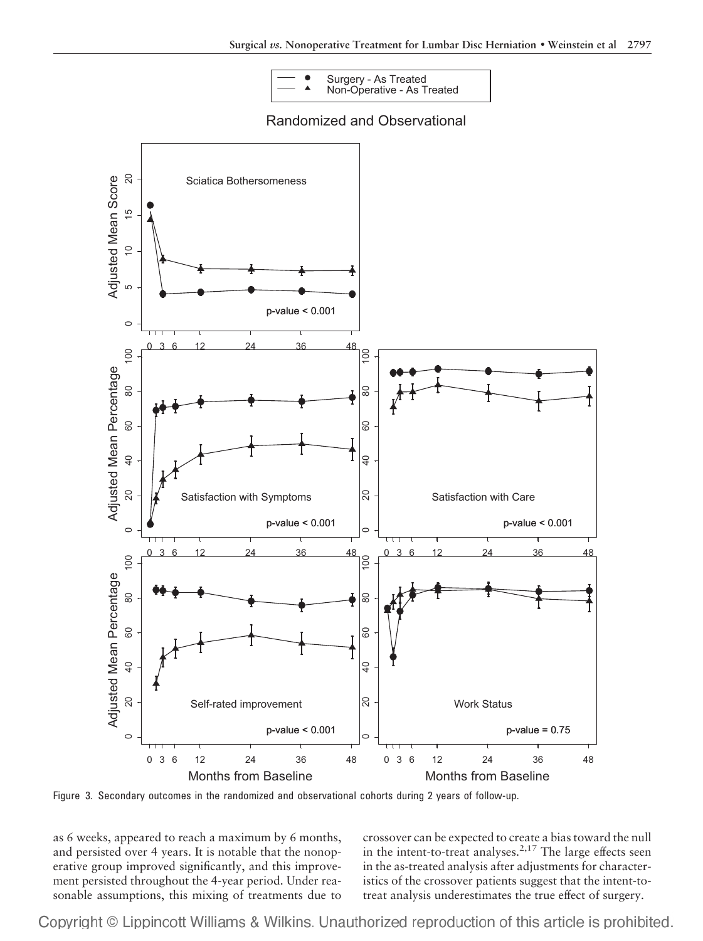

# Randomized and Observational



Figure 3. Secondary outcomes in the randomized and observational cohorts during 2 years of follow-up.

as 6 weeks, appeared to reach a maximum by 6 months, and persisted over 4 years. It is notable that the nonoperative group improved significantly, and this improvement persisted throughout the 4-year period. Under reasonable assumptions, this mixing of treatments due to crossover can be expected to create a bias toward the null in the intent-to-treat analyses. $2,17$  The large effects seen in the as-treated analysis after adjustments for characteristics of the crossover patients suggest that the intent-totreat analysis underestimates the true effect of surgery.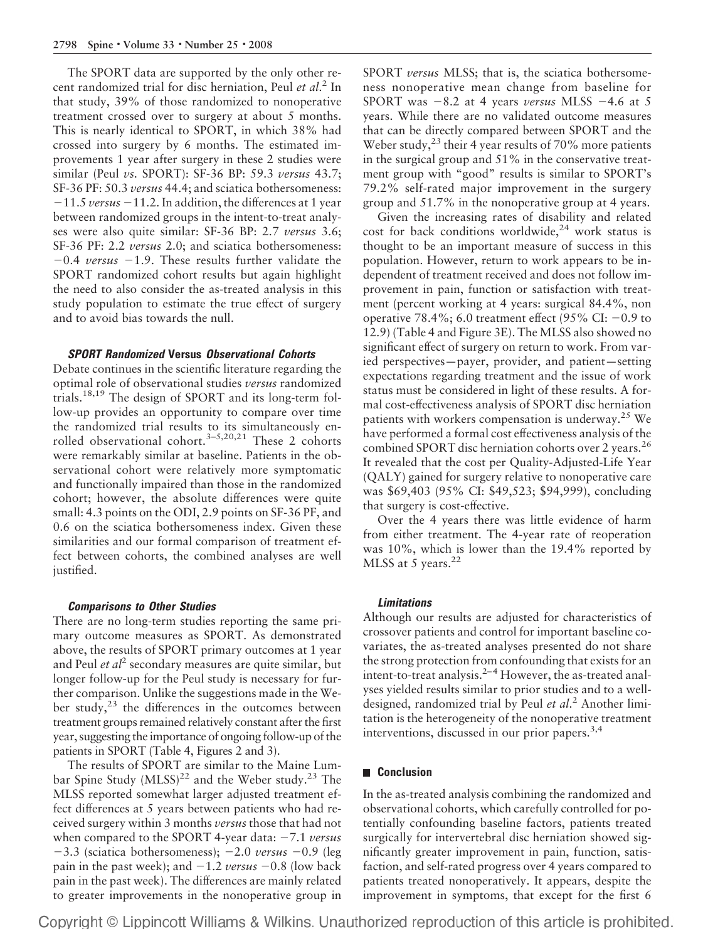The SPORT data are supported by the only other recent randomized trial for disc herniation, Peul *et al*. <sup>2</sup> In that study, 39% of those randomized to nonoperative treatment crossed over to surgery at about 5 months. This is nearly identical to SPORT, in which 38% had crossed into surgery by 6 months. The estimated improvements 1 year after surgery in these 2 studies were similar (Peul *vs.* SPORT): SF-36 BP: 59.3 *versus* 43.7; SF-36 PF: 50.3 *versus* 44.4; and sciatica bothersomeness:  $-11.5$  *versus*  $-11.2$ . In addition, the differences at 1 year between randomized groups in the intent-to-treat analyses were also quite similar: SF-36 BP: 2.7 *versus* 3.6; SF-36 PF: 2.2 *versus* 2.0; and sciatica bothersomeness:  $-0.4$  *versus*  $-1.9$ . These results further validate the SPORT randomized cohort results but again highlight the need to also consider the as-treated analysis in this study population to estimate the true effect of surgery and to avoid bias towards the null.

#### *SPORT Randomized* **Versus** *Observational Cohorts*

Debate continues in the scientific literature regarding the optimal role of observational studies *versus* randomized trials.18,19 The design of SPORT and its long-term follow-up provides an opportunity to compare over time the randomized trial results to its simultaneously enrolled observational cohort.<sup>3-5,20,21</sup> These 2 cohorts were remarkably similar at baseline. Patients in the observational cohort were relatively more symptomatic and functionally impaired than those in the randomized cohort; however, the absolute differences were quite small: 4.3 points on the ODI, 2.9 points on SF-36 PF, and 0.6 on the sciatica bothersomeness index. Given these similarities and our formal comparison of treatment effect between cohorts, the combined analyses are well justified.

#### *Comparisons to Other Studies*

There are no long-term studies reporting the same primary outcome measures as SPORT. As demonstrated above, the results of SPORT primary outcomes at 1 year and Peul *et al*<sup>2</sup> secondary measures are quite similar, but longer follow-up for the Peul study is necessary for further comparison. Unlike the suggestions made in the Weber study, $^{23}$  the differences in the outcomes between treatment groups remained relatively constant after the first year, suggesting the importance of ongoing follow-up of the patients in SPORT (Table 4, Figures 2 and 3).

The results of SPORT are similar to the Maine Lumbar Spine Study  $(MLSS)^{22}$  and the Weber study.<sup>23</sup> The MLSS reported somewhat larger adjusted treatment effect differences at 5 years between patients who had received surgery within 3 months *versus* those that had not when compared to the SPORT 4-year data:  $-7.1$  *versus*  $-3.3$  (sciatica bothersomeness);  $-2.0$  *versus*  $-0.9$  (leg pain in the past week); and  $-1.2$  *versus*  $-0.8$  (low back pain in the past week). The differences are mainly related to greater improvements in the nonoperative group in

SPORT *versus* MLSS; that is, the sciatica bothersomeness nonoperative mean change from baseline for SPORT was  $-8.2$  at 4 years *versus* MLSS  $-4.6$  at 5 years. While there are no validated outcome measures that can be directly compared between SPORT and the Weber study,  $^{23}$  their 4 year results of 70% more patients in the surgical group and 51% in the conservative treatment group with "good" results is similar to SPORT's 79.2% self-rated major improvement in the surgery group and 51.7% in the nonoperative group at 4 years.

Given the increasing rates of disability and related cost for back conditions worldwide,<sup>24</sup> work status is thought to be an important measure of success in this population. However, return to work appears to be independent of treatment received and does not follow improvement in pain, function or satisfaction with treatment (percent working at 4 years: surgical 84.4%, non operative 78.4%; 6.0 treatment effect (95% CI:  $-0.9$  to 12.9) (Table 4 and Figure 3E). The MLSS also showed no significant effect of surgery on return to work. From varied perspectives—payer, provider, and patient—setting expectations regarding treatment and the issue of work status must be considered in light of these results. A formal cost-effectiveness analysis of SPORT disc herniation patients with workers compensation is underway.<sup>25</sup> We have performed a formal cost effectiveness analysis of the combined SPORT disc herniation cohorts over 2 years.<sup>26</sup> It revealed that the cost per Quality-Adjusted-Life Year (QALY) gained for surgery relative to nonoperative care was \$69,403 (95% CI: \$49,523; \$94,999), concluding that surgery is cost-effective.

Over the 4 years there was little evidence of harm from either treatment. The 4-year rate of reoperation was 10%, which is lower than the 19.4% reported by MLSS at 5 years. $22$ 

#### *Limitations*

Although our results are adjusted for characteristics of crossover patients and control for important baseline covariates, the as-treated analyses presented do not share the strong protection from confounding that exists for an intent-to-treat analysis. $2^{-4}$  However, the as-treated analyses yielded results similar to prior studies and to a welldesigned, randomized trial by Peul *et al*. <sup>2</sup> Another limitation is the heterogeneity of the nonoperative treatment interventions, discussed in our prior papers.<sup>3,4</sup>

# **Conclusion**

In the as-treated analysis combining the randomized and observational cohorts, which carefully controlled for potentially confounding baseline factors, patients treated surgically for intervertebral disc herniation showed significantly greater improvement in pain, function, satisfaction, and self-rated progress over 4 years compared to patients treated nonoperatively. It appears, despite the improvement in symptoms, that except for the first 6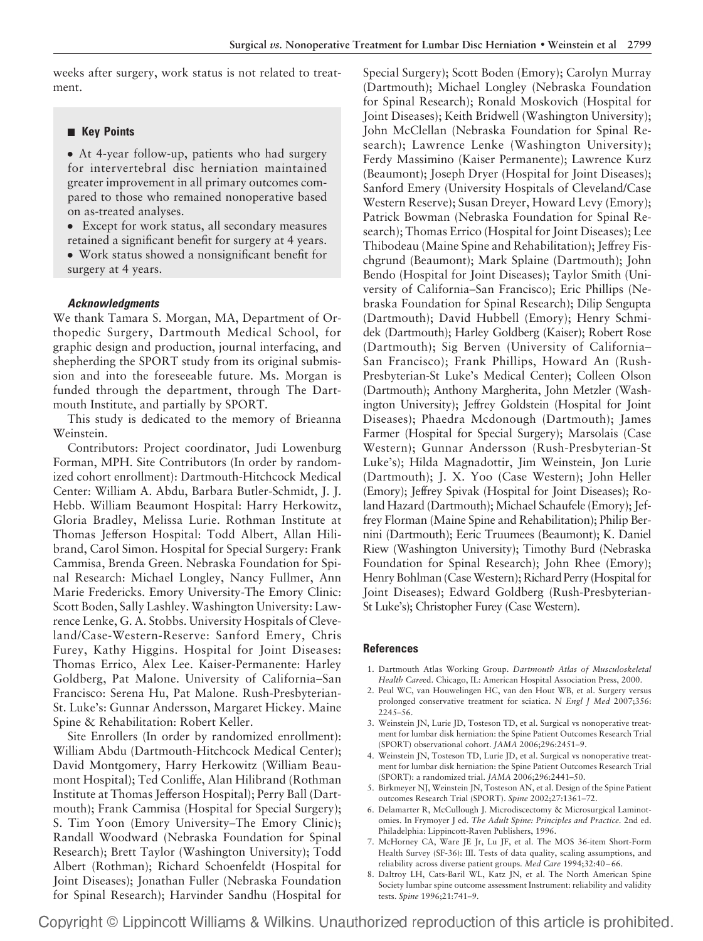weeks after surgery, work status is not related to treatment.

# **Key Points**

• At 4-year follow-up, patients who had surgery for intervertebral disc herniation maintained greater improvement in all primary outcomes compared to those who remained nonoperative based on as-treated analyses.

● Except for work status, all secondary measures retained a significant benefit for surgery at 4 years. ● Work status showed a nonsignificant benefit for surgery at 4 years.

## *Acknowledgments*

We thank Tamara S. Morgan, MA, Department of Orthopedic Surgery, Dartmouth Medical School, for graphic design and production, journal interfacing, and shepherding the SPORT study from its original submission and into the foreseeable future. Ms. Morgan is funded through the department, through The Dartmouth Institute, and partially by SPORT.

This study is dedicated to the memory of Brieanna Weinstein.

Contributors: Project coordinator, Judi Lowenburg Forman, MPH. Site Contributors (In order by randomized cohort enrollment): Dartmouth-Hitchcock Medical Center: William A. Abdu, Barbara Butler-Schmidt, J. J. Hebb. William Beaumont Hospital: Harry Herkowitz, Gloria Bradley, Melissa Lurie. Rothman Institute at Thomas Jefferson Hospital: Todd Albert, Allan Hilibrand, Carol Simon. Hospital for Special Surgery: Frank Cammisa, Brenda Green. Nebraska Foundation for Spinal Research: Michael Longley, Nancy Fullmer, Ann Marie Fredericks. Emory University-The Emory Clinic: Scott Boden, Sally Lashley. Washington University: Lawrence Lenke, G. A. Stobbs. University Hospitals of Cleveland/Case-Western-Reserve: Sanford Emery, Chris Furey, Kathy Higgins. Hospital for Joint Diseases: Thomas Errico, Alex Lee. Kaiser-Permanente: Harley Goldberg, Pat Malone. University of California–San Francisco: Serena Hu, Pat Malone. Rush-Presbyterian-St. Luke's: Gunnar Andersson, Margaret Hickey. Maine Spine & Rehabilitation: Robert Keller.

Site Enrollers (In order by randomized enrollment): William Abdu (Dartmouth-Hitchcock Medical Center); David Montgomery, Harry Herkowitz (William Beaumont Hospital); Ted Conliffe, Alan Hilibrand (Rothman Institute at Thomas Jefferson Hospital); Perry Ball (Dartmouth); Frank Cammisa (Hospital for Special Surgery); S. Tim Yoon (Emory University–The Emory Clinic); Randall Woodward (Nebraska Foundation for Spinal Research); Brett Taylor (Washington University); Todd Albert (Rothman); Richard Schoenfeldt (Hospital for Joint Diseases); Jonathan Fuller (Nebraska Foundation for Spinal Research); Harvinder Sandhu (Hospital for

Special Surgery); Scott Boden (Emory); Carolyn Murray (Dartmouth); Michael Longley (Nebraska Foundation for Spinal Research); Ronald Moskovich (Hospital for Joint Diseases); Keith Bridwell (Washington University); John McClellan (Nebraska Foundation for Spinal Research); Lawrence Lenke (Washington University); Ferdy Massimino (Kaiser Permanente); Lawrence Kurz (Beaumont); Joseph Dryer (Hospital for Joint Diseases); Sanford Emery (University Hospitals of Cleveland/Case Western Reserve); Susan Dreyer, Howard Levy (Emory); Patrick Bowman (Nebraska Foundation for Spinal Research); Thomas Errico (Hospital for Joint Diseases); Lee Thibodeau (Maine Spine and Rehabilitation); Jeffrey Fischgrund (Beaumont); Mark Splaine (Dartmouth); John Bendo (Hospital for Joint Diseases); Taylor Smith (University of California–San Francisco); Eric Phillips (Nebraska Foundation for Spinal Research); Dilip Sengupta (Dartmouth); David Hubbell (Emory); Henry Schmidek (Dartmouth); Harley Goldberg (Kaiser); Robert Rose (Dartmouth); Sig Berven (University of California– San Francisco); Frank Phillips, Howard An (Rush-Presbyterian-St Luke's Medical Center); Colleen Olson (Dartmouth); Anthony Margherita, John Metzler (Washington University); Jeffrey Goldstein (Hospital for Joint Diseases); Phaedra Mcdonough (Dartmouth); James Farmer (Hospital for Special Surgery); Marsolais (Case Western); Gunnar Andersson (Rush-Presbyterian-St Luke's); Hilda Magnadottir, Jim Weinstein, Jon Lurie (Dartmouth); J. X. Yoo (Case Western); John Heller (Emory); Jeffrey Spivak (Hospital for Joint Diseases); Roland Hazard (Dartmouth); Michael Schaufele (Emory); Jeffrey Florman (Maine Spine and Rehabilitation); Philip Bernini (Dartmouth); Eeric Truumees (Beaumont); K. Daniel Riew (Washington University); Timothy Burd (Nebraska Foundation for Spinal Research); John Rhee (Emory); Henry Bohlman (Case Western); Richard Perry (Hospital for Joint Diseases); Edward Goldberg (Rush-Presbyterian-St Luke's); Christopher Furey (Case Western).

#### **References**

- 1. Dartmouth Atlas Working Group. *Dartmouth Atlas of Musculoskeletal Health Care*ed. Chicago, IL: American Hospital Association Press, 2000.
- 2. Peul WC, van Houwelingen HC, van den Hout WB, et al. Surgery versus prolonged conservative treatment for sciatica. *N Engl J Med* 2007;356: 2245–56.
- 3. Weinstein JN, Lurie JD, Tosteson TD, et al. Surgical vs nonoperative treatment for lumbar disk herniation: the Spine Patient Outcomes Research Trial (SPORT) observational cohort. *JAMA* 2006;296:2451–9.
- 4. Weinstein JN, Tosteson TD, Lurie JD, et al. Surgical vs nonoperative treatment for lumbar disk herniation: the Spine Patient Outcomes Research Trial (SPORT): a randomized trial. *JAMA* 2006;296:2441–50.
- 5. Birkmeyer NJ, Weinstein JN, Tosteson AN, et al. Design of the Spine Patient outcomes Research Trial (SPORT). *Spine* 2002;27:1361–72.
- 6. Delamarter R, McCullough J. Microdiscectomy & Microsurgical Laminotomies. In Frymoyer J ed. *The Adult Spine: Principles and Practice.* 2nd ed. Philadelphia: Lippincott-Raven Publishers, 1996.
- 7. McHorney CA, Ware JE Jr, Lu JF, et al. The MOS 36-item Short-Form Health Survey (SF-36): III. Tests of data quality, scaling assumptions, and reliability across diverse patient groups. *Med Care* 1994;32:40–66.
- 8. Daltroy LH, Cats-Baril WL, Katz JN, et al. The North American Spine Society lumbar spine outcome assessment Instrument: reliability and validity tests. *Spine* 1996;21:741–9.